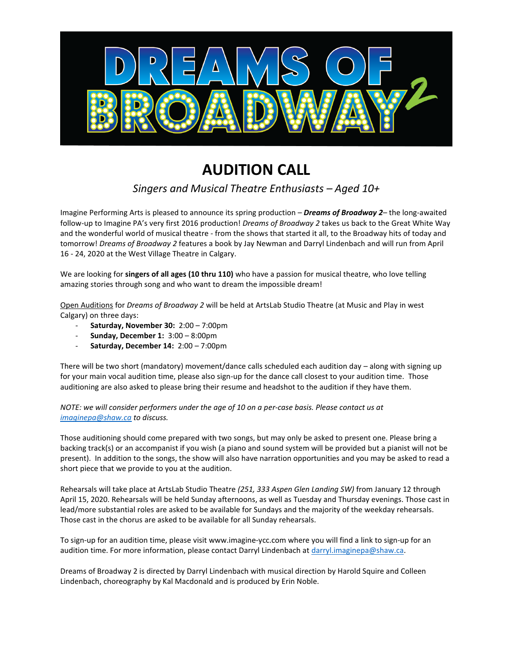

## **AUDITION CALL**

## *Singers and Musical Theatre Enthusiasts – Aged 10+*

Imagine Performing Arts is pleased to announce its spring production – *Dreams of Broadway 2*– the long-awaited follow-up to Imagine PA's very first 2016 production! *Dreams of Broadway 2* takes us back to the Great White Way and the wonderful world of musical theatre - from the shows that started it all, to the Broadway hits of today and tomorrow! *Dreams of Broadway 2* features a book by Jay Newman and Darryl Lindenbach and will run from April 16 - 24, 2020 at the West Village Theatre in Calgary.

We are looking for **singers of all ages (10 thru 110)** who have a passion for musical theatre, who love telling amazing stories through song and who want to dream the impossible dream!

Open Auditions for *Dreams of Broadway 2* will be held at ArtsLab Studio Theatre (at Music and Play in west Calgary) on three days:

- **Saturday, November 30:** 2:00 7:00pm
- **Sunday, December 1:** 3:00 8:00pm
- **Saturday, December 14:** 2:00 7:00pm

There will be two short (mandatory) movement/dance calls scheduled each audition day – along with signing up for your main vocal audition time, please also sign-up for the dance call closest to your audition time. Those auditioning are also asked to please bring their resume and headshot to the audition if they have them.

*NOTE: we will consider performers under the age of 10 on a per-case basis. Please contact us at [imaginepa@shaw.ca](mailto:imaginepa@shaw.ca) to discuss.*

Those auditioning should come prepared with two songs, but may only be asked to present one. Please bring a backing track(s) or an accompanist if you wish (a piano and sound system will be provided but a pianist will not be present). In addition to the songs, the show will also have narration opportunities and you may be asked to read a short piece that we provide to you at the audition.

Rehearsals will take place at ArtsLab Studio Theatre *(251, 333 Aspen Glen Landing SW)* from January 12 through April 15, 2020. Rehearsals will be held Sunday afternoons, as well as Tuesday and Thursday evenings. Those cast in lead/more substantial roles are asked to be available for Sundays and the majority of the weekday rehearsals. Those cast in the chorus are asked to be available for all Sunday rehearsals.

To sign-up for an audition time, please visit www.imagine-ycc.com where you will find a link to sign-up for an audition time. For more information, please contact Darryl Lindenbach a[t darryl.imaginepa@shaw.ca.](mailto:darryl.imaginepa@shaw.ca)

Dreams of Broadway 2 is directed by Darryl Lindenbach with musical direction by Harold Squire and Colleen Lindenbach, choreography by Kal Macdonald and is produced by Erin Noble.